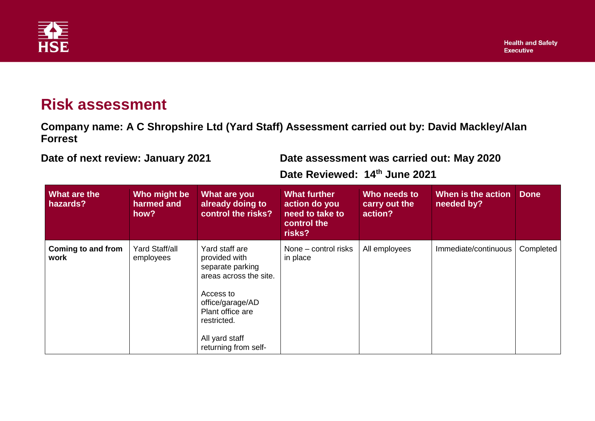

## **Risk assessment**

**Company name: A C Shropshire Ltd (Yard Staff) Assessment carried out by: David Mackley/Alan Forrest**

**Date of next review: January 2021 Date assessment was carried out: May 2020**

**Date Reviewed: 14th June 2021**

| What are the<br>hazards?   | Who might be<br>harmed and<br>how? | What are you<br>already doing to<br>control the risks?                                                                                                                                      | <b>What further</b><br>action do you<br>need to take to<br>control the<br>risks? | Who needs to<br>carry out the<br>action? | When is the action<br>needed by? | <b>Done</b> |
|----------------------------|------------------------------------|---------------------------------------------------------------------------------------------------------------------------------------------------------------------------------------------|----------------------------------------------------------------------------------|------------------------------------------|----------------------------------|-------------|
| Coming to and from<br>work | <b>Yard Staff/all</b><br>employees | Yard staff are<br>provided with<br>separate parking<br>areas across the site.<br>Access to<br>office/garage/AD<br>Plant office are<br>restricted.<br>All yard staff<br>returning from self- | None - control risks<br>in place                                                 | All employees                            | Immediate/continuous             | Completed   |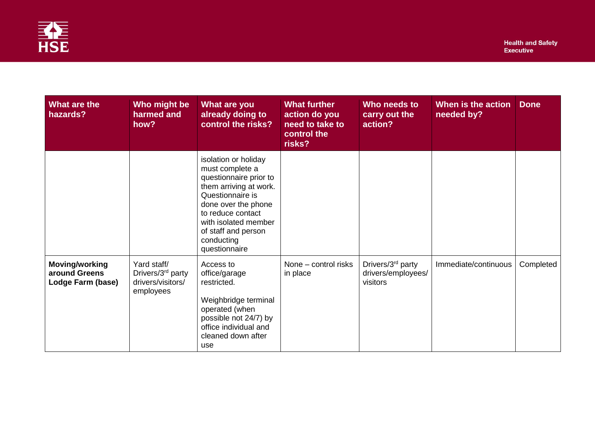

| What are the<br>hazards?                                    | Who might be<br>harmed and<br>how?                                             | What are you<br>already doing to<br>control the risks?                                                                                                                                                                                    | <b>What further</b><br>action do you<br>need to take to<br>control the<br>risks? | Who needs to<br>carry out the<br>action?                        | When is the action<br>needed by? | <b>Done</b> |
|-------------------------------------------------------------|--------------------------------------------------------------------------------|-------------------------------------------------------------------------------------------------------------------------------------------------------------------------------------------------------------------------------------------|----------------------------------------------------------------------------------|-----------------------------------------------------------------|----------------------------------|-------------|
|                                                             |                                                                                | isolation or holiday<br>must complete a<br>questionnaire prior to<br>them arriving at work.<br>Questionnaire is<br>done over the phone<br>to reduce contact<br>with isolated member<br>of staff and person<br>conducting<br>questionnaire |                                                                                  |                                                                 |                                  |             |
| <b>Moving/working</b><br>around Greens<br>Lodge Farm (base) | Yard staff/<br>Drivers/3 <sup>rd</sup> party<br>drivers/visitors/<br>employees | Access to<br>office/garage<br>restricted.<br>Weighbridge terminal<br>operated (when<br>possible not 24/7) by<br>office individual and<br>cleaned down after<br>use                                                                        | None - control risks<br>in place                                                 | Drivers/3 <sup>rd</sup> party<br>drivers/employees/<br>visitors | Immediate/continuous             | Completed   |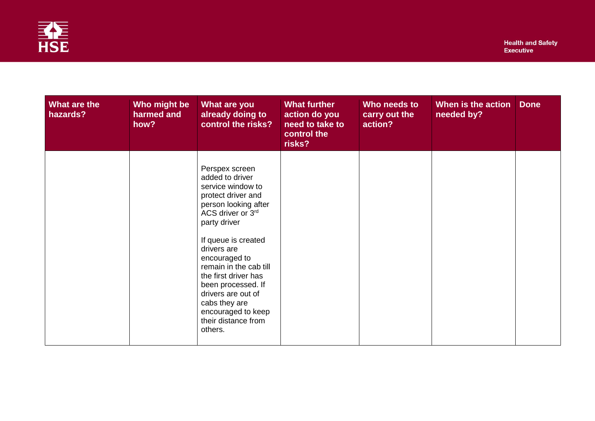

| What are the<br>hazards? | Who might be<br>harmed and<br>how? | What are you<br>already doing to<br>control the risks?                                                                                                                                                                                                                                                                                                                  | <b>What further</b><br>action do you<br>need to take to<br>control the<br>risks? | Who needs to<br>carry out the<br>action? | When is the action<br>needed by? | <b>Done</b> |
|--------------------------|------------------------------------|-------------------------------------------------------------------------------------------------------------------------------------------------------------------------------------------------------------------------------------------------------------------------------------------------------------------------------------------------------------------------|----------------------------------------------------------------------------------|------------------------------------------|----------------------------------|-------------|
|                          |                                    | Perspex screen<br>added to driver<br>service window to<br>protect driver and<br>person looking after<br>ACS driver or 3rd<br>party driver<br>If queue is created<br>drivers are<br>encouraged to<br>remain in the cab till<br>the first driver has<br>been processed. If<br>drivers are out of<br>cabs they are<br>encouraged to keep<br>their distance from<br>others. |                                                                                  |                                          |                                  |             |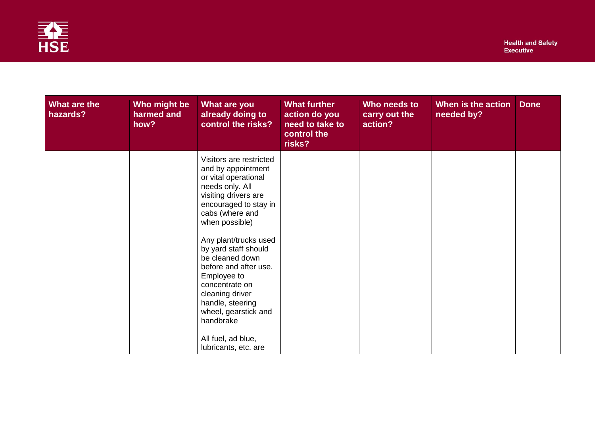

| What are the<br>hazards? | Who might be<br>harmed and<br>how? | What are you<br>already doing to<br>control the risks?                                                                                                                                                                                                                                                                                                                                                                                 | What further<br>action do you<br>need to take to<br>control the<br>risks? | Who needs to<br>carry out the<br>action? | When is the action<br>needed by? | <b>Done</b> |
|--------------------------|------------------------------------|----------------------------------------------------------------------------------------------------------------------------------------------------------------------------------------------------------------------------------------------------------------------------------------------------------------------------------------------------------------------------------------------------------------------------------------|---------------------------------------------------------------------------|------------------------------------------|----------------------------------|-------------|
|                          |                                    | Visitors are restricted<br>and by appointment<br>or vital operational<br>needs only. All<br>visiting drivers are<br>encouraged to stay in<br>cabs (where and<br>when possible)<br>Any plant/trucks used<br>by yard staff should<br>be cleaned down<br>before and after use.<br>Employee to<br>concentrate on<br>cleaning driver<br>handle, steering<br>wheel, gearstick and<br>handbrake<br>All fuel, ad blue,<br>lubricants, etc. are |                                                                           |                                          |                                  |             |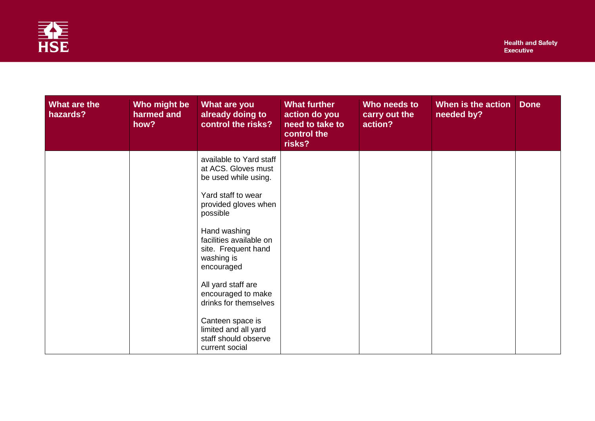

| What are the<br>hazards? | Who might be<br>harmed and<br>how? | What are you<br>already doing to<br>control the risks?                                       | <b>What further</b><br>action do you<br>need to take to<br>control the<br>risks? | Who needs to<br>carry out the<br>action? | When is the action<br>needed by? | <b>Done</b> |
|--------------------------|------------------------------------|----------------------------------------------------------------------------------------------|----------------------------------------------------------------------------------|------------------------------------------|----------------------------------|-------------|
|                          |                                    | available to Yard staff<br>at ACS. Gloves must<br>be used while using.<br>Yard staff to wear |                                                                                  |                                          |                                  |             |
|                          |                                    | provided gloves when<br>possible<br>Hand washing                                             |                                                                                  |                                          |                                  |             |
|                          |                                    | facilities available on<br>site. Frequent hand<br>washing is<br>encouraged                   |                                                                                  |                                          |                                  |             |
|                          |                                    | All yard staff are<br>encouraged to make<br>drinks for themselves                            |                                                                                  |                                          |                                  |             |
|                          |                                    | Canteen space is<br>limited and all yard<br>staff should observe<br>current social           |                                                                                  |                                          |                                  |             |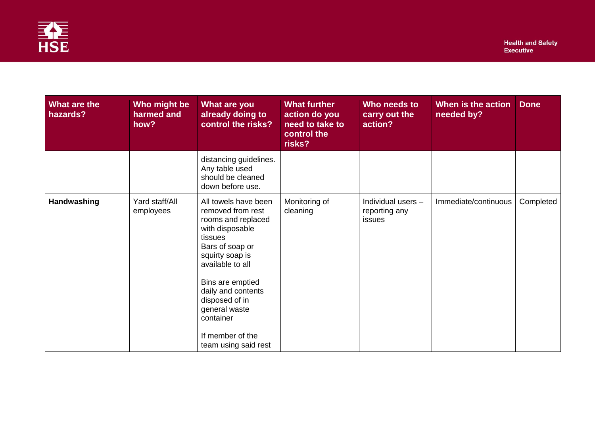

| What are the<br>hazards? | Who might be<br>harmed and<br>how? | What are you<br>already doing to<br>control the risks?                                                                                                                                                                                                                                        | <b>What further</b><br>action do you<br>need to take to<br>control the<br>risks? | Who needs to<br>carry out the<br>action?      | When is the action<br>needed by? | <b>Done</b> |
|--------------------------|------------------------------------|-----------------------------------------------------------------------------------------------------------------------------------------------------------------------------------------------------------------------------------------------------------------------------------------------|----------------------------------------------------------------------------------|-----------------------------------------------|----------------------------------|-------------|
|                          |                                    | distancing guidelines.<br>Any table used<br>should be cleaned<br>down before use.                                                                                                                                                                                                             |                                                                                  |                                               |                                  |             |
| Handwashing              | Yard staff/All<br>employees        | All towels have been<br>removed from rest<br>rooms and replaced<br>with disposable<br>tissues<br>Bars of soap or<br>squirty soap is<br>available to all<br>Bins are emptied<br>daily and contents<br>disposed of in<br>general waste<br>container<br>If member of the<br>team using said rest | Monitoring of<br>cleaning                                                        | Individual users -<br>reporting any<br>issues | Immediate/continuous             | Completed   |